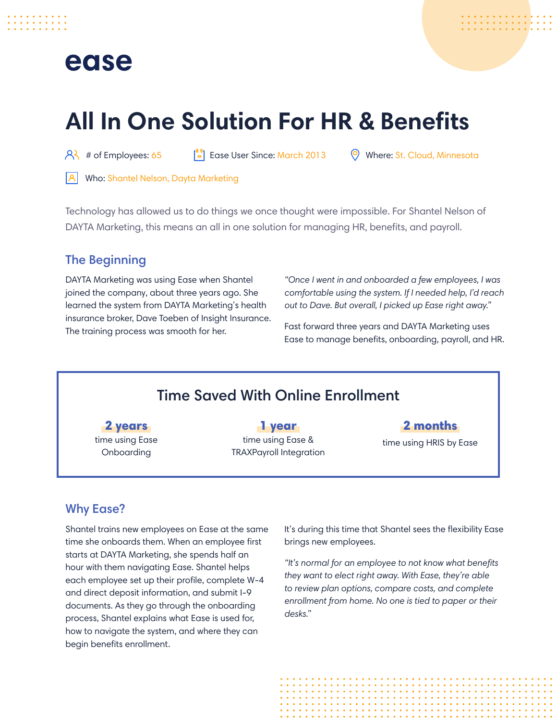## ease

# **All In One Solution For HR & Benefits**

 $\beta$  # of Employees: 65  $\lceil \frac{10}{3} \rceil$  Ease User Since: March 2013  $\lceil \frac{10}{3} \rceil$  Where: St. Cloud, Minnesota

Who: Shantel Nelson, Dayta Marketing

Technology has allowed us to do things we once thought were impossible. For Shantel Nelson of DAYTA Marketing, this means an all in one solution for managing HR, benefits, and payroll.

#### The Beginning

DAYTA Marketing was using Ease when Shantel joined the company, about three years ago. She learned the system from DAYTA Marketing's health insurance broker, Dave Toeben of Insight Insurance. The training process was smooth for her.

*"Once I went in and onboarded a few employees, I was comfortable using the system. If I needed help, I'd reach out to Dave. But overall, I picked up Ease right away."*

Fast forward three years and DAYTA Marketing uses Ease to manage benefits, onboarding, payroll, and HR.

### Time Saved With Online Enrollment

2 years time using Ease Onboarding

1 year time using Ease & TRAXPayroll Integration

#### 2 months

time using HRIS by Ease

#### Why Ease?

Shantel trains new employees on Ease at the same time she onboards them. When an employee first starts at DAYTA Marketing, she spends half an hour with them navigating Ease. Shantel helps each employee set up their profile, complete W-4 and direct deposit information, and submit I-9 documents. As they go through the onboarding process, Shantel explains what Ease is used for, how to navigate the system, and where they can begin benefits enrollment.

It's during this time that Shantel sees the flexibility Ease brings new employees.

*"It's normal for an employee to not know what benefits they want to elect right away. With Ease, they're able to review plan options, compare costs, and complete enrollment from home. No one is tied to paper or their desks."*